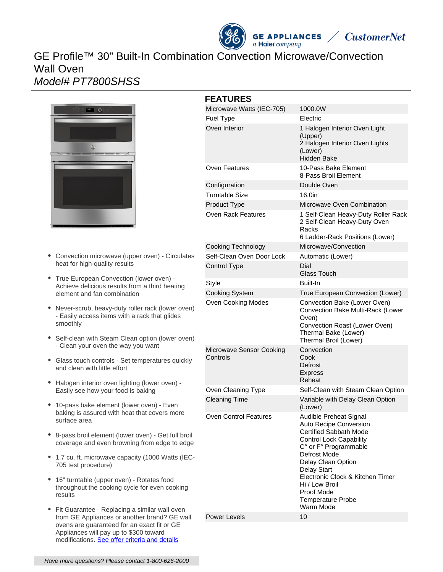# **GE APPLIANCES**  $a$  Haier company **CustomerNet** GE Profile™ 30" Built-In Combination Convection Microwave/Convection Wall Oven

Model# PT7800SHSS



- Convection microwave (upper oven) Circulates heat for high-quality results
- True European Convection (lower oven) Achieve delicious results from a third heating element and fan combination
- Never-scrub, heavy-duty roller rack (lower oven) - Easily access items with a rack that glides smoothly
- Self-clean with Steam Clean option (lower oven) - Clean your oven the way you want
- Glass touch controls Set temperatures quickly and clean with little effort
- Halogen interior oven lighting (lower oven) -Easily see how your food is baking
- 10-pass bake element (lower oven) Even baking is assured with heat that covers more surface area
- 8-pass broil element (lower oven) Get full broil coverage and even browning from edge to edge
- 1.7 cu. ft. microwave capacity (1000 Watts (IEC-705 test procedure)
- 16" turntable (upper oven) Rotates food throughout the cooking cycle for even cooking results
- Fit Guarantee Replacing a similar wall oven from GE Appliances or another brand? GE wall ovens are guaranteed for an exact fit or GE Appliances will pay up to \$300 toward modifications. [See offer criteria and details](http://www.geappliances.com/ge-fits)

| <b>FEATURES</b>                      |                                                                                                                                                                                                                                                                                                                |
|--------------------------------------|----------------------------------------------------------------------------------------------------------------------------------------------------------------------------------------------------------------------------------------------------------------------------------------------------------------|
| Microwave Watts (IEC-705)            | 1000.0W                                                                                                                                                                                                                                                                                                        |
| <b>Fuel Type</b>                     | Electric                                                                                                                                                                                                                                                                                                       |
| Oven Interior                        | 1 Halogen Interior Oven Light<br>(Upper)<br>2 Halogen Interior Oven Lights<br>(Lower)<br>Hidden Bake                                                                                                                                                                                                           |
| Oven Features                        | 10-Pass Bake Element<br>8-Pass Broil Element                                                                                                                                                                                                                                                                   |
| Configuration                        | Double Oven                                                                                                                                                                                                                                                                                                    |
| Turntable Size                       | 16.0in                                                                                                                                                                                                                                                                                                         |
| Product Type                         | Microwave Oven Combination                                                                                                                                                                                                                                                                                     |
| Oven Rack Features                   | 1 Self-Clean Heavy-Duty Roller Rack<br>2 Self-Clean Heavy-Duty Oven<br>Racks<br>6 Ladder-Rack Positions (Lower)                                                                                                                                                                                                |
| <b>Cooking Technology</b>            | Microwave/Convection                                                                                                                                                                                                                                                                                           |
| Self-Clean Oven Door Lock            | Automatic (Lower)                                                                                                                                                                                                                                                                                              |
| Control Type                         | Dial<br><b>Glass Touch</b>                                                                                                                                                                                                                                                                                     |
| <b>Style</b>                         | Built-In                                                                                                                                                                                                                                                                                                       |
| <b>Cooking System</b>                | True European Convection (Lower)                                                                                                                                                                                                                                                                               |
| Oven Cooking Modes                   | Convection Bake (Lower Oven)<br>Convection Bake Multi-Rack (Lower<br>Oven)<br>Convection Roast (Lower Oven)<br>Thermal Bake (Lower)<br>Thermal Broil (Lower)                                                                                                                                                   |
| Microwave Sensor Cooking<br>Controls | Convection<br>Cook<br>Defrost<br><b>Express</b><br>Reheat                                                                                                                                                                                                                                                      |
| Oven Cleaning Type                   | Self-Clean with Steam Clean Option                                                                                                                                                                                                                                                                             |
| <b>Cleaning Time</b>                 | Variable with Delay Clean Option<br>(Lower)                                                                                                                                                                                                                                                                    |
| <b>Oven Control Features</b>         | Audible Preheat Signal<br>Auto Recipe Conversion<br>Certified Sabbath Mode<br><b>Control Lock Capability</b><br>C° or F° Programmable<br>Defrost Mode<br>Delay Clean Option<br><b>Delay Start</b><br>Electronic Clock & Kitchen Timer<br>Hi / Low Broil<br>Proof Mode<br><b>Temperature Probe</b><br>Warm Mode |
| Power Levels                         | 10                                                                                                                                                                                                                                                                                                             |